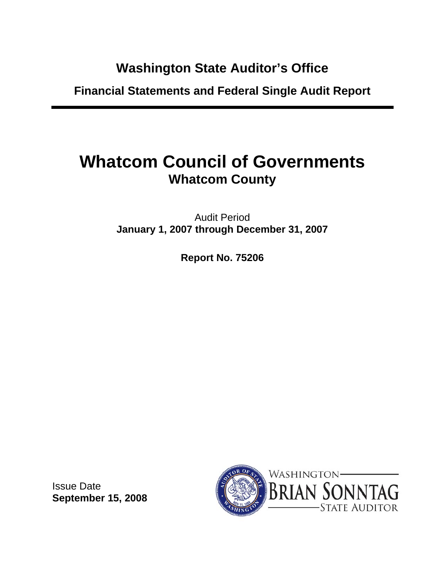## **Washington State Auditor's Office**

**Financial Statements and Federal Single Audit Report** 

# **Whatcom Council of Governments Whatcom County**

Audit Period **January 1, 2007 through December 31, 2007** 

**Report No. 75206** 

Issue Date **September 15, 2008** 

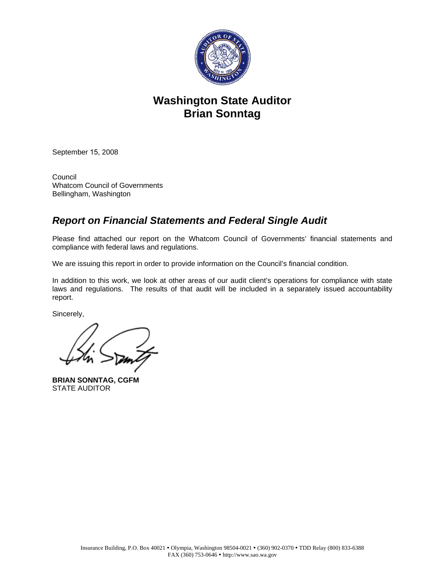

## **Washington State Auditor Brian Sonntag**

September 15, 2008

Council Whatcom Council of Governments Bellingham, Washington

## *Report on Financial Statements and Federal Single Audit*

Please find attached our report on the Whatcom Council of Governments' financial statements and compliance with federal laws and regulations.

We are issuing this report in order to provide information on the Council's financial condition.

In addition to this work, we look at other areas of our audit client's operations for compliance with state laws and regulations. The results of that audit will be included in a separately issued accountability report.

Sincerely,

**BRIAN SONNTAG, CGFM**  STATE AUDITOR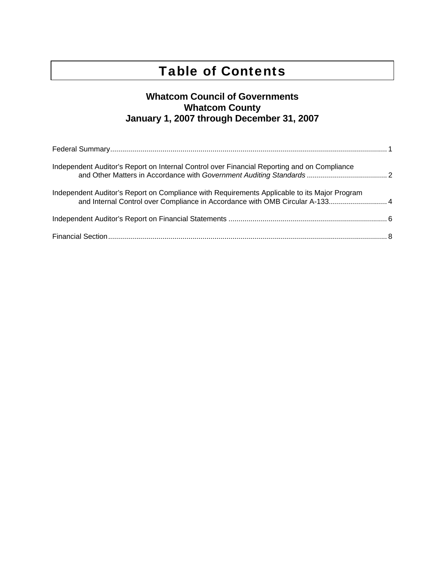## Table of Contents

## **Whatcom Council of Governments Whatcom County January 1, 2007 through December 31, 2007**

| Independent Auditor's Report on Internal Control over Financial Reporting and on Compliance  |  |
|----------------------------------------------------------------------------------------------|--|
| Independent Auditor's Report on Compliance with Requirements Applicable to its Major Program |  |
|                                                                                              |  |
|                                                                                              |  |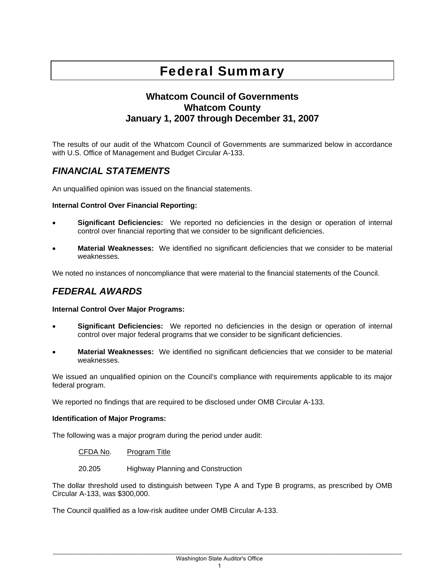## Federal Summary

## **Whatcom Council of Governments Whatcom County January 1, 2007 through December 31, 2007**

The results of our audit of the Whatcom Council of Governments are summarized below in accordance with U.S. Office of Management and Budget Circular A-133.

## *FINANCIAL STATEMENTS*

An unqualified opinion was issued on the financial statements.

### **Internal Control Over Financial Reporting:**

- **Significant Deficiencies:** We reported no deficiencies in the design or operation of internal control over financial reporting that we consider to be significant deficiencies.
- **Material Weaknesses:** We identified no significant deficiencies that we consider to be material weaknesses.

We noted no instances of noncompliance that were material to the financial statements of the Council.

## *FEDERAL AWARDS*

#### **Internal Control Over Major Programs:**

- **Significant Deficiencies:** We reported no deficiencies in the design or operation of internal control over major federal programs that we consider to be significant deficiencies.
- **Material Weaknesses:** We identified no significant deficiencies that we consider to be material weaknesses.

We issued an unqualified opinion on the Council's compliance with requirements applicable to its major federal program.

We reported no findings that are required to be disclosed under OMB Circular A-133.

#### **Identification of Major Programs:**

The following was a major program during the period under audit:

CFDA No. Program Title

20.205 Highway Planning and Construction

The dollar threshold used to distinguish between Type A and Type B programs, as prescribed by OMB Circular A-133, was \$300,000.

The Council qualified as a low-risk auditee under OMB Circular A-133.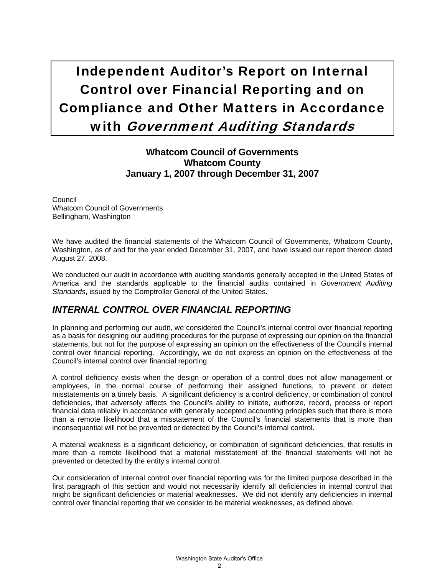# Independent Auditor's Report on Internal Control over Financial Reporting and on Compliance and Other Matters in Accordance with Government Auditing Standards

## **Whatcom Council of Governments Whatcom County January 1, 2007 through December 31, 2007**

Council Whatcom Council of Governments Bellingham, Washington

We have audited the financial statements of the Whatcom Council of Governments, Whatcom County, Washington, as of and for the year ended December 31, 2007, and have issued our report thereon dated August 27, 2008.

We conducted our audit in accordance with auditing standards generally accepted in the United States of America and the standards applicable to the financial audits contained in *Government Auditing Standards*, issued by the Comptroller General of the United States.

## *INTERNAL CONTROL OVER FINANCIAL REPORTING*

In planning and performing our audit, we considered the Council's internal control over financial reporting as a basis for designing our auditing procedures for the purpose of expressing our opinion on the financial statements, but not for the purpose of expressing an opinion on the effectiveness of the Council's internal control over financial reporting. Accordingly, we do not express an opinion on the effectiveness of the Council's internal control over financial reporting.

A control deficiency exists when the design or operation of a control does not allow management or employees, in the normal course of performing their assigned functions, to prevent or detect misstatements on a timely basis. A significant deficiency is a control deficiency, or combination of control deficiencies, that adversely affects the Council's ability to initiate, authorize, record, process or report financial data reliably in accordance with generally accepted accounting principles such that there is more than a remote likelihood that a misstatement of the Council's financial statements that is more than inconsequential will not be prevented or detected by the Council's internal control.

A material weakness is a significant deficiency, or combination of significant deficiencies, that results in more than a remote likelihood that a material misstatement of the financial statements will not be prevented or detected by the entity's internal control.

Our consideration of internal control over financial reporting was for the limited purpose described in the first paragraph of this section and would not necessarily identify all deficiencies in internal control that might be significant deficiencies or material weaknesses. We did not identify any deficiencies in internal control over financial reporting that we consider to be material weaknesses, as defined above.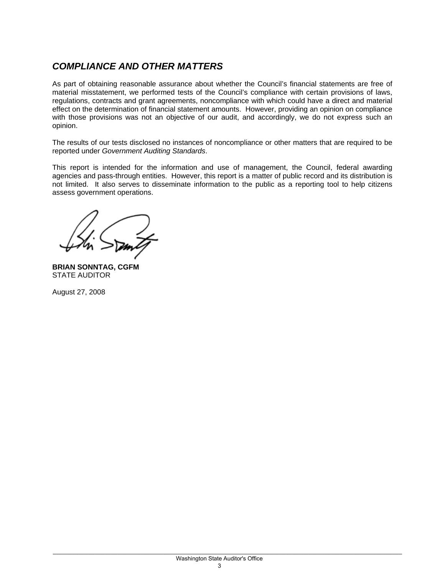## *COMPLIANCE AND OTHER MATTERS*

As part of obtaining reasonable assurance about whether the Council's financial statements are free of material misstatement, we performed tests of the Council's compliance with certain provisions of laws, regulations, contracts and grant agreements, noncompliance with which could have a direct and material effect on the determination of financial statement amounts. However, providing an opinion on compliance with those provisions was not an objective of our audit, and accordingly, we do not express such an opinion.

The results of our tests disclosed no instances of noncompliance or other matters that are required to be reported under *Government Auditing Standards*.

This report is intended for the information and use of management, the Council, federal awarding agencies and pass-through entities. However, this report is a matter of public record and its distribution is not limited. It also serves to disseminate information to the public as a reporting tool to help citizens assess government operations.

**BRIAN SONNTAG, CGFM**  STATE AUDITOR

August 27, 2008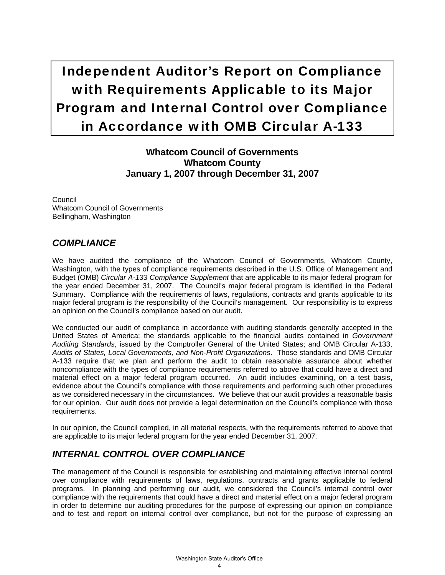# Independent Auditor's Report on Compliance with Requirements Applicable to its Major Program and Internal Control over Compliance in Accordance with OMB Circular A-133

## **Whatcom Council of Governments Whatcom County January 1, 2007 through December 31, 2007**

Council Whatcom Council of Governments Bellingham, Washington

## *COMPLIANCE*

We have audited the compliance of the Whatcom Council of Governments, Whatcom County, Washington, with the types of compliance requirements described in the U.S. Office of Management and Budget (OMB) *Circular A-133 Compliance Supplement* that are applicable to its major federal program for the year ended December 31, 2007. The Council's major federal program is identified in the Federal Summary. Compliance with the requirements of laws, regulations, contracts and grants applicable to its major federal program is the responsibility of the Council's management. Our responsibility is to express an opinion on the Council's compliance based on our audit.

We conducted our audit of compliance in accordance with auditing standards generally accepted in the United States of America; the standards applicable to the financial audits contained in *Government Auditing Standards*, issued by the Comptroller General of the United States; and OMB Circular A-133, *Audits of States, Local Governments, and Non-Profit Organizations*. Those standards and OMB Circular A-133 require that we plan and perform the audit to obtain reasonable assurance about whether noncompliance with the types of compliance requirements referred to above that could have a direct and material effect on a major federal program occurred. An audit includes examining, on a test basis, evidence about the Council's compliance with those requirements and performing such other procedures as we considered necessary in the circumstances. We believe that our audit provides a reasonable basis for our opinion. Our audit does not provide a legal determination on the Council's compliance with those requirements.

In our opinion, the Council complied, in all material respects, with the requirements referred to above that are applicable to its major federal program for the year ended December 31, 2007.

## *INTERNAL CONTROL OVER COMPLIANCE*

The management of the Council is responsible for establishing and maintaining effective internal control over compliance with requirements of laws, regulations, contracts and grants applicable to federal programs. In planning and performing our audit, we considered the Council's internal control over compliance with the requirements that could have a direct and material effect on a major federal program in order to determine our auditing procedures for the purpose of expressing our opinion on compliance and to test and report on internal control over compliance, but not for the purpose of expressing an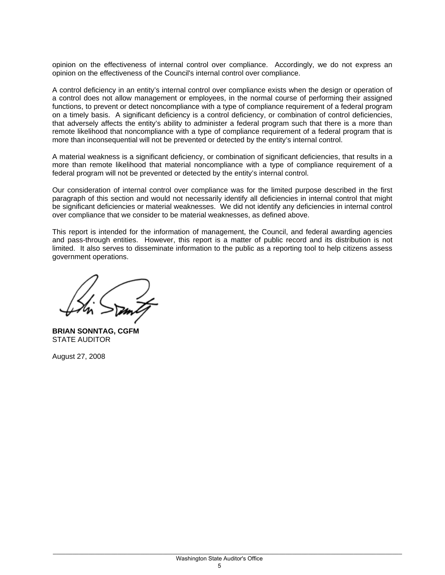opinion on the effectiveness of internal control over compliance. Accordingly, we do not express an opinion on the effectiveness of the Council's internal control over compliance.

A control deficiency in an entity's internal control over compliance exists when the design or operation of a control does not allow management or employees, in the normal course of performing their assigned functions, to prevent or detect noncompliance with a type of compliance requirement of a federal program on a timely basis. A significant deficiency is a control deficiency, or combination of control deficiencies, that adversely affects the entity's ability to administer a federal program such that there is a more than remote likelihood that noncompliance with a type of compliance requirement of a federal program that is more than inconsequential will not be prevented or detected by the entity's internal control.

A material weakness is a significant deficiency, or combination of significant deficiencies, that results in a more than remote likelihood that material noncompliance with a type of compliance requirement of a federal program will not be prevented or detected by the entity's internal control.

Our consideration of internal control over compliance was for the limited purpose described in the first paragraph of this section and would not necessarily identify all deficiencies in internal control that might be significant deficiencies or material weaknesses. We did not identify any deficiencies in internal control over compliance that we consider to be material weaknesses, as defined above.

This report is intended for the information of management, the Council, and federal awarding agencies and pass-through entities. However, this report is a matter of public record and its distribution is not limited. It also serves to disseminate information to the public as a reporting tool to help citizens assess government operations.

**BRIAN SONNTAG, CGFM**  STATE AUDITOR

August 27, 2008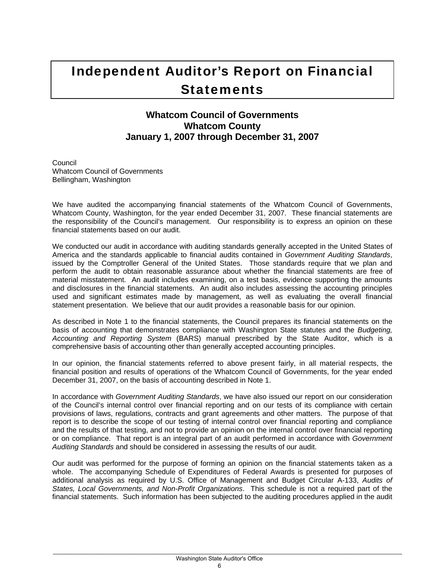# Independent Auditor's Report on Financial Statements

## **Whatcom Council of Governments Whatcom County January 1, 2007 through December 31, 2007**

Council Whatcom Council of Governments Bellingham, Washington

We have audited the accompanying financial statements of the Whatcom Council of Governments, Whatcom County, Washington, for the year ended December 31, 2007. These financial statements are the responsibility of the Council's management. Our responsibility is to express an opinion on these financial statements based on our audit.

We conducted our audit in accordance with auditing standards generally accepted in the United States of America and the standards applicable to financial audits contained in *Government Auditing Standards*, issued by the Comptroller General of the United States. Those standards require that we plan and perform the audit to obtain reasonable assurance about whether the financial statements are free of material misstatement. An audit includes examining, on a test basis, evidence supporting the amounts and disclosures in the financial statements. An audit also includes assessing the accounting principles used and significant estimates made by management, as well as evaluating the overall financial statement presentation. We believe that our audit provides a reasonable basis for our opinion.

As described in Note 1 to the financial statements, the Council prepares its financial statements on the basis of accounting that demonstrates compliance with Washington State statutes and the *Budgeting, Accounting and Reporting System* (BARS) manual prescribed by the State Auditor, which is a comprehensive basis of accounting other than generally accepted accounting principles.

In our opinion, the financial statements referred to above present fairly, in all material respects, the financial position and results of operations of the Whatcom Council of Governments, for the year ended December 31, 2007, on the basis of accounting described in Note 1.

In accordance with *Government Auditing Standards*, we have also issued our report on our consideration of the Council's internal control over financial reporting and on our tests of its compliance with certain provisions of laws, regulations, contracts and grant agreements and other matters. The purpose of that report is to describe the scope of our testing of internal control over financial reporting and compliance and the results of that testing, and not to provide an opinion on the internal control over financial reporting or on compliance. That report is an integral part of an audit performed in accordance with *Government Auditing Standards* and should be considered in assessing the results of our audit.

Our audit was performed for the purpose of forming an opinion on the financial statements taken as a whole. The accompanying Schedule of Expenditures of Federal Awards is presented for purposes of additional analysis as required by U.S. Office of Management and Budget Circular A-133, *Audits of States, Local Governments, and Non-Profit Organizations*. This schedule is not a required part of the financial statements. Such information has been subjected to the auditing procedures applied in the audit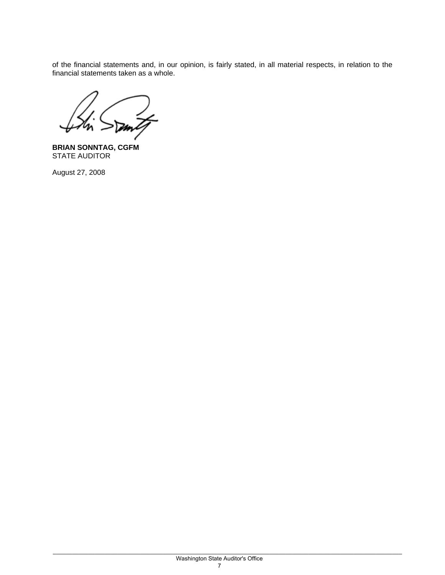of the financial statements and, in our opinion, is fairly stated, in all material respects, in relation to the financial statements taken as a whole.

**BRIAN SONNTAG, CGFM**  STATE AUDITOR

August 27, 2008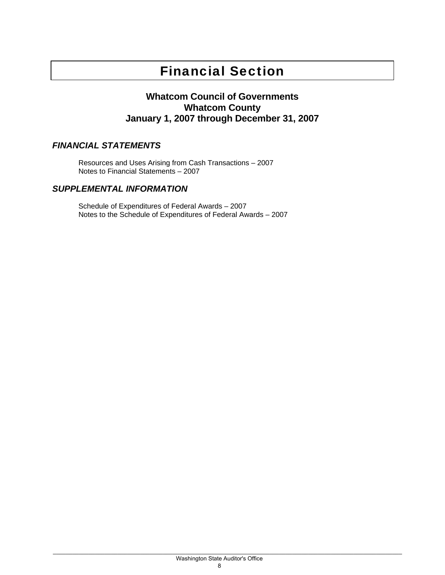## Financial Section

## **Whatcom Council of Governments Whatcom County January 1, 2007 through December 31, 2007**

## *FINANCIAL STATEMENTS*

Resources and Uses Arising from Cash Transactions – 2007 Notes to Financial Statements – 2007

## *SUPPLEMENTAL INFORMATION*

Schedule of Expenditures of Federal Awards – 2007 Notes to the Schedule of Expenditures of Federal Awards – 2007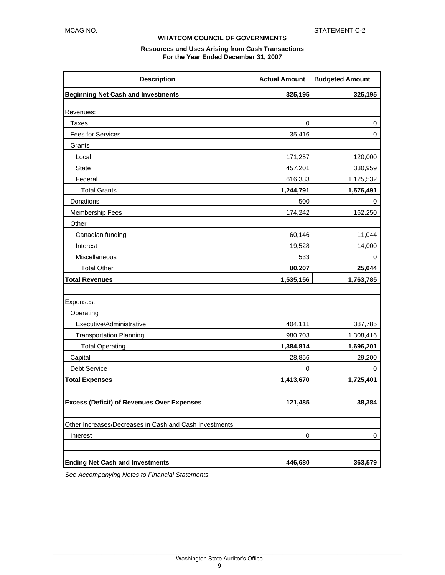### **WHATCOM COUNCIL OF GOVERNMENTS**

#### **Resources and Uses Arising from Cash Transactions For the Year Ended December 31, 2007**

| <b>Description</b>                                      | <b>Actual Amount</b> | <b>Budgeted Amount</b> |  |
|---------------------------------------------------------|----------------------|------------------------|--|
| <b>Beginning Net Cash and Investments</b>               | 325,195              | 325,195                |  |
| Revenues:                                               |                      |                        |  |
| <b>Taxes</b>                                            | 0                    | 0                      |  |
| <b>Fees for Services</b>                                | 35,416               | 0                      |  |
| Grants                                                  |                      |                        |  |
| Local                                                   | 171,257              | 120,000                |  |
| <b>State</b>                                            | 457,201              | 330,959                |  |
| Federal                                                 | 616,333              | 1,125,532              |  |
| <b>Total Grants</b>                                     | 1,244,791            | 1,576,491              |  |
| Donations                                               | 500                  | 0                      |  |
| Membership Fees                                         | 174,242              | 162,250                |  |
| Other                                                   |                      |                        |  |
| Canadian funding                                        | 60,146               | 11,044                 |  |
| Interest                                                | 19,528               | 14,000                 |  |
| Miscellaneous                                           | 533                  | 0                      |  |
| <b>Total Other</b>                                      | 80,207               | 25,044                 |  |
| <b>Total Revenues</b>                                   | 1,535,156            | 1,763,785              |  |
| Expenses:                                               |                      |                        |  |
| Operating                                               |                      |                        |  |
| Executive/Administrative                                | 404,111              | 387,785                |  |
| <b>Transportation Planning</b>                          | 980,703              | 1,308,416              |  |
| <b>Total Operating</b>                                  | 1,384,814            | 1,696,201              |  |
| Capital                                                 | 28,856               | 29,200                 |  |
| Debt Service                                            | 0                    | 0                      |  |
| <b>Total Expenses</b>                                   | 1,413,670            | 1,725,401              |  |
|                                                         |                      |                        |  |
| <b>Excess (Deficit) of Revenues Over Expenses</b>       | 121,485              | 38,384                 |  |
| Other Increases/Decreases in Cash and Cash Investments: |                      |                        |  |
| Interest                                                | 0                    | 0                      |  |
|                                                         |                      |                        |  |
| <b>Ending Net Cash and Investments</b>                  | 446,680              | 363,579                |  |

*See Accompanying Notes to Financial Statements*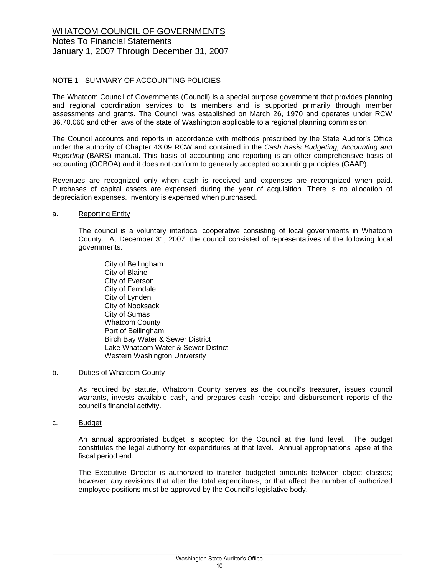### WHATCOM COUNCIL OF GOVERNMENTS Notes To Financial Statements January 1, 2007 Through December 31, 2007

### NOTE 1 - SUMMARY OF ACCOUNTING POLICIES

The Whatcom Council of Governments (Council) is a special purpose government that provides planning and regional coordination services to its members and is supported primarily through member assessments and grants. The Council was established on March 26, 1970 and operates under RCW 36.70.060 and other laws of the state of Washington applicable to a regional planning commission.

The Council accounts and reports in accordance with methods prescribed by the State Auditor's Office under the authority of Chapter 43.09 RCW and contained in the *Cash Basis Budgeting, Accounting and Reporting* (BARS) manual. This basis of accounting and reporting is an other comprehensive basis of accounting (OCBOA) and it does not conform to generally accepted accounting principles (GAAP).

Revenues are recognized only when cash is received and expenses are recongnized when paid. Purchases of capital assets are expensed during the year of acquisition. There is no allocation of depreciation expenses. Inventory is expensed when purchased.

#### a. Reporting Entity

 The council is a voluntary interlocal cooperative consisting of local governments in Whatcom County. At December 31, 2007, the council consisted of representatives of the following local governments:

 City of Bellingham City of Blaine City of Everson City of Ferndale City of Lynden City of Nooksack City of Sumas Whatcom County Port of Bellingham Birch Bay Water & Sewer District Lake Whatcom Water & Sewer District Western Washington University

#### b. Duties of Whatcom County

As required by statute, Whatcom County serves as the council's treasurer, issues council warrants, invests available cash, and prepares cash receipt and disbursement reports of the council's financial activity.

c. Budget

An annual appropriated budget is adopted for the Council at the fund level. The budget constitutes the legal authority for expenditures at that level. Annual appropriations lapse at the fiscal period end.

The Executive Director is authorized to transfer budgeted amounts between object classes; however, any revisions that alter the total expenditures, or that affect the number of authorized employee positions must be approved by the Council's legislative body.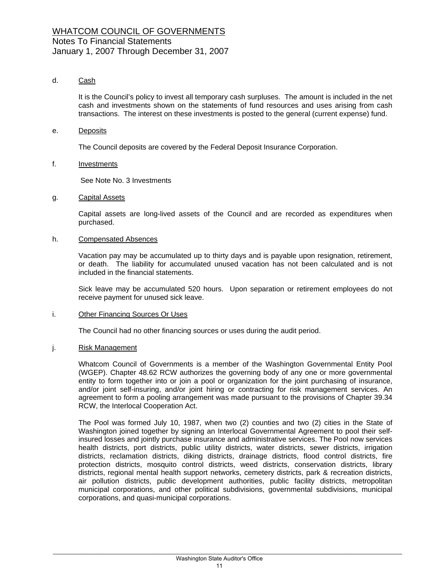#### d. Cash

It is the Council's policy to invest all temporary cash surpluses. The amount is included in the net cash and investments shown on the statements of fund resources and uses arising from cash transactions. The interest on these investments is posted to the general (current expense) fund.

e. Deposits

The Council deposits are covered by the Federal Deposit Insurance Corporation.

#### f. Investments

See Note No. 3 Investments

g. Capital Assets

Capital assets are long-lived assets of the Council and are recorded as expenditures when purchased.

#### h. Compensated Absences

Vacation pay may be accumulated up to thirty days and is payable upon resignation, retirement, or death. The liability for accumulated unused vacation has not been calculated and is not included in the financial statements.

Sick leave may be accumulated 520 hours. Upon separation or retirement employees do not receive payment for unused sick leave.

#### i. Other Financing Sources Or Uses

The Council had no other financing sources or uses during the audit period.

#### j. Risk Management

Whatcom Council of Governments is a member of the Washington Governmental Entity Pool (WGEP). Chapter 48.62 RCW authorizes the governing body of any one or more governmental entity to form together into or join a pool or organization for the joint purchasing of insurance, and/or joint self-insuring, and/or joint hiring or contracting for risk management services. An agreement to form a pooling arrangement was made pursuant to the provisions of Chapter 39.34 RCW, the Interlocal Cooperation Act.

The Pool was formed July 10, 1987, when two (2) counties and two (2) cities in the State of Washington joined together by signing an Interlocal Governmental Agreement to pool their selfinsured losses and jointly purchase insurance and administrative services. The Pool now services health districts, port districts, public utility districts, water districts, sewer districts, irrigation districts, reclamation districts, diking districts, drainage districts, flood control districts, fire protection districts, mosquito control districts, weed districts, conservation districts, library districts, regional mental health support networks, cemetery districts, park & recreation districts, air pollution districts, public development authorities, public facility districts, metropolitan municipal corporations, and other political subdivisions, governmental subdivisions, municipal corporations, and quasi-municipal corporations.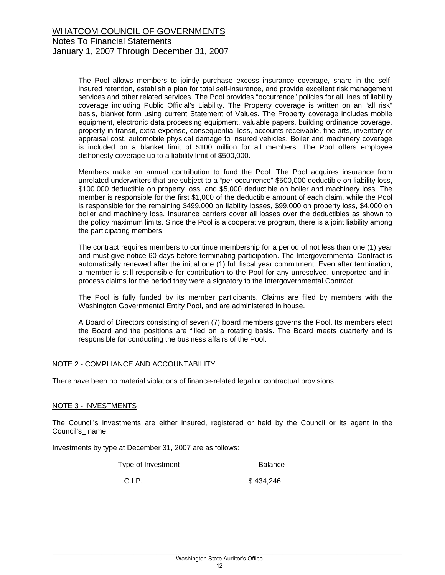The Pool allows members to jointly purchase excess insurance coverage, share in the selfinsured retention, establish a plan for total self-insurance, and provide excellent risk management services and other related services. The Pool provides "occurrence" policies for all lines of liability coverage including Public Official's Liability. The Property coverage is written on an "all risk" basis, blanket form using current Statement of Values. The Property coverage includes mobile equipment, electronic data processing equipment, valuable papers, building ordinance coverage, property in transit, extra expense, consequential loss, accounts receivable, fine arts, inventory or appraisal cost, automobile physical damage to insured vehicles. Boiler and machinery coverage is included on a blanket limit of \$100 million for all members. The Pool offers employee dishonesty coverage up to a liability limit of \$500,000.

Members make an annual contribution to fund the Pool. The Pool acquires insurance from unrelated underwriters that are subject to a "per occurrence" \$500,000 deductible on liability loss, \$100,000 deductible on property loss, and \$5,000 deductible on boiler and machinery loss. The member is responsible for the first \$1,000 of the deductible amount of each claim, while the Pool is responsible for the remaining \$499,000 on liability losses, \$99,000 on property loss, \$4,000 on boiler and machinery loss. Insurance carriers cover all losses over the deductibles as shown to the policy maximum limits. Since the Pool is a cooperative program, there is a joint liability among the participating members.

The contract requires members to continue membership for a period of not less than one (1) year and must give notice 60 days before terminating participation. The Intergovernmental Contract is automatically renewed after the initial one (1) full fiscal year commitment. Even after termination, a member is still responsible for contribution to the Pool for any unresolved, unreported and inprocess claims for the period they were a signatory to the Intergovernmental Contract.

The Pool is fully funded by its member participants. Claims are filed by members with the Washington Governmental Entity Pool, and are administered in house.

A Board of Directors consisting of seven (7) board members governs the Pool. Its members elect the Board and the positions are filled on a rotating basis. The Board meets quarterly and is responsible for conducting the business affairs of the Pool.

#### NOTE 2 - COMPLIANCE AND ACCOUNTABILITY

There have been no material violations of finance-related legal or contractual provisions.

#### NOTE 3 - INVESTMENTS

The Council's investments are either insured, registered or held by the Council or its agent in the Council's name.

Investments by type at December 31, 2007 are as follows:

Type of Investment **Balance** 

L.G.I.P. \$434.246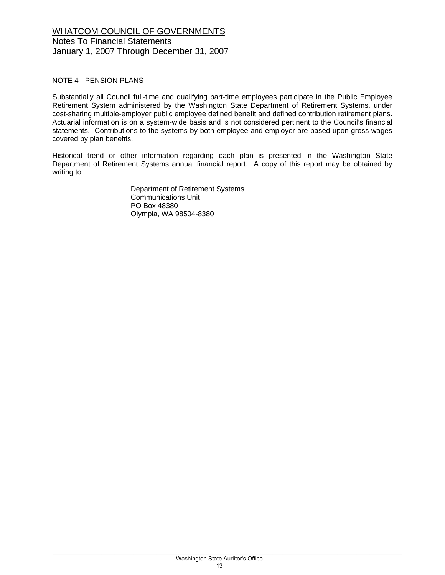### WHATCOM COUNCIL OF GOVERNMENTS Notes To Financial Statements January 1, 2007 Through December 31, 2007

### NOTE 4 - PENSION PLANS

Substantially all Council full-time and qualifying part-time employees participate in the Public Employee Retirement System administered by the Washington State Department of Retirement Systems, under cost-sharing multiple-employer public employee defined benefit and defined contribution retirement plans. Actuarial information is on a system-wide basis and is not considered pertinent to the Council's financial statements. Contributions to the systems by both employee and employer are based upon gross wages covered by plan benefits.

Historical trend or other information regarding each plan is presented in the Washington State Department of Retirement Systems annual financial report. A copy of this report may be obtained by writing to:

> Department of Retirement Systems Communications Unit PO Box 48380 Olympia, WA 98504-8380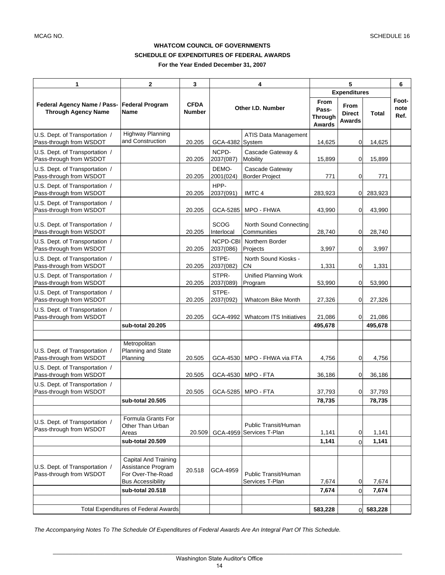### **WHATCOM COUNCIL OF GOVERNMENTS SCHEDULE OF EXPENDITURES OF FEDERAL AWARDS For the Year Ended December 31, 2007**

| 1                                                                         | $\mathbf{2}$                                                                                | 3                            | 4                            |                                                  | 5                                         |                                        |              | 6                     |
|---------------------------------------------------------------------------|---------------------------------------------------------------------------------------------|------------------------------|------------------------------|--------------------------------------------------|-------------------------------------------|----------------------------------------|--------------|-----------------------|
|                                                                           |                                                                                             |                              |                              |                                                  | <b>Expenditures</b>                       |                                        |              |                       |
| Federal Agency Name / Pass- Federal Program<br><b>Through Agency Name</b> | <b>Name</b>                                                                                 | <b>CFDA</b><br><b>Number</b> | Other I.D. Number            |                                                  | From<br>Pass-<br><b>Through</b><br>Awards | <b>From</b><br><b>Direct</b><br>Awards | <b>Total</b> | Foot-<br>note<br>Ref. |
| U.S. Dept. of Transportation /<br>Pass-through from WSDOT                 | <b>Highway Planning</b><br>and Construction                                                 | 20.205                       | GCA-4382 System              | ATIS Data Management                             | 14,625                                    | 0                                      | 14,625       |                       |
| U.S. Dept. of Transportation /<br>Pass-through from WSDOT                 |                                                                                             | 20.205                       | NCPD-<br>2037(087)           | Cascade Gateway &<br>Mobility                    | 15,899                                    | 0                                      | 15,899       |                       |
| U.S. Dept. of Transportation /<br>Pass-through from WSDOT                 |                                                                                             | 20.205                       | DEMO-<br>2001(024)           | Cascade Gateway<br><b>Border Project</b>         | 771                                       | 0                                      | 771          |                       |
| U.S. Dept. of Transportation /<br>Pass-through from WSDOT                 |                                                                                             | 20.205                       | HPP-<br>2037(091)            | IMTC 4                                           | 283,923                                   | 0                                      | 283,923      |                       |
| U.S. Dept. of Transportation /<br>Pass-through from WSDOT                 |                                                                                             | 20.205                       | GCA-5285                     | MPO - FHWA                                       | 43,990                                    | 0                                      | 43,990       |                       |
| U.S. Dept. of Transportation /<br>Pass-through from WSDOT                 |                                                                                             | 20.205                       | <b>SCOG</b><br>Interlocal    | North Sound Connecting<br>Communities            | 28,740                                    | 0                                      | 28,740       |                       |
| U.S. Dept. of Transportation /<br>Pass-through from WSDOT                 |                                                                                             | 20.205                       | <b>NCPD-CBI</b><br>2037(086) | Northern Border<br>Projects                      | 3,997                                     | 0                                      | 3,997        |                       |
| U.S. Dept. of Transportation /<br>Pass-through from WSDOT                 |                                                                                             | 20.205                       | STPE-<br>2037(082)           | North Sound Kiosks -<br>СN                       | 1,331                                     | 0                                      | 1,331        |                       |
| U.S. Dept. of Transportation /<br>Pass-through from WSDOT                 |                                                                                             | 20.205                       | STPR-<br>2037(089)           | <b>Unified Planning Work</b><br>Program          | 53,990                                    | 0                                      | 53,990       |                       |
| U.S. Dept. of Transportation /<br>Pass-through from WSDOT                 |                                                                                             | 20.205                       | STPE-<br>2037(092)           | <b>Whatcom Bike Month</b>                        | 27,326                                    | 0                                      | 27,326       |                       |
| U.S. Dept. of Transportation /<br>Pass-through from WSDOT                 |                                                                                             | 20.205                       | GCA-4992                     | <b>Whatcom ITS Initiatives</b>                   | 21,086                                    | $\mathbf 0$                            | 21,086       |                       |
|                                                                           | sub-total 20.205                                                                            |                              |                              |                                                  | 495,678                                   |                                        | 495,678      |                       |
|                                                                           |                                                                                             |                              |                              |                                                  |                                           |                                        |              |                       |
| U.S. Dept. of Transportation /<br>Pass-through from WSDOT                 | Metropolitan<br>Planning and State<br>Planning                                              | 20.505                       |                              | GCA-4530   MPO - FHWA via FTA                    | 4,756                                     | 0                                      | 4,756        |                       |
| U.S. Dept. of Transportation /<br>Pass-through from WSDOT                 |                                                                                             | 20.505                       |                              | GCA-4530 MPO - FTA                               | 36,186                                    | 0                                      | 36,186       |                       |
| U.S. Dept. of Transportation /                                            |                                                                                             |                              |                              |                                                  |                                           |                                        |              |                       |
| Pass-through from WSDOT                                                   |                                                                                             | 20.505                       | GCA-5285                     | MPO - FTA                                        | 37,793                                    | 0                                      | 37,793       |                       |
|                                                                           | sub-total 20.505                                                                            |                              |                              |                                                  | 78,735                                    |                                        | 78,735       |                       |
| U.S. Dept. of Transportation /<br>Pass-through from WSDOT                 | Formula Grants For<br>Other Than Urban<br>Areas                                             | 20.509                       |                              | Public Transit/Human<br>GCA-4959 Services T-Plan | 1,141                                     | 0                                      | 1,141        |                       |
|                                                                           | sub-total 20.509                                                                            |                              |                              |                                                  | 1,141                                     | $\mathbf 0$                            | 1,141        |                       |
|                                                                           |                                                                                             |                              |                              |                                                  |                                           |                                        |              |                       |
| U.S. Dept. of Transportation /<br>Pass-through from WSDOT                 | Capital And Training<br>Assistance Program<br>For Over-The-Road<br><b>Bus Accessibility</b> | 20.518                       | GCA-4959                     | Public Transit/Human<br>Services T-Plan          | 7,674                                     | 0                                      | 7,674        |                       |
|                                                                           | sub-total 20.518                                                                            |                              |                              |                                                  | 7,674                                     | $\overline{0}$                         | 7,674        |                       |
|                                                                           |                                                                                             |                              |                              |                                                  |                                           |                                        |              |                       |
|                                                                           | <b>Total Expenditures of Federal Awards</b>                                                 |                              |                              |                                                  | 583,228                                   |                                        | $0$ 583,228  |                       |

*The Accompanying Notes To The Schedule Of Expenditures of Federal Awards Are An Integral Part Of This Schedule.*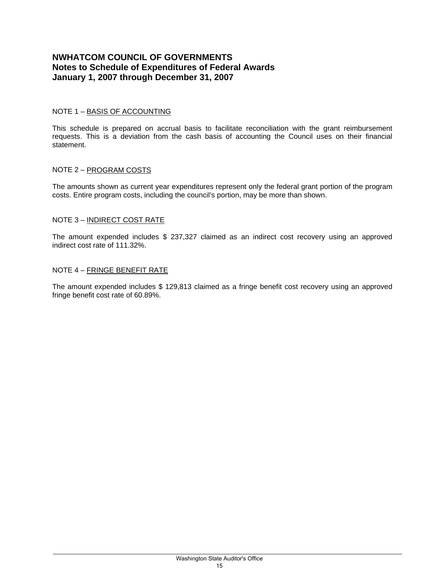## **NWHATCOM COUNCIL OF GOVERNMENTS Notes to Schedule of Expenditures of Federal Awards January 1, 2007 through December 31, 2007**

### NOTE 1 – BASIS OF ACCOUNTING

This schedule is prepared on accrual basis to facilitate reconciliation with the grant reimbursement requests. This is a deviation from the cash basis of accounting the Council uses on their financial statement.

#### NOTE 2 – PROGRAM COSTS

The amounts shown as current year expenditures represent only the federal grant portion of the program costs. Entire program costs, including the council's portion, may be more than shown.

#### NOTE 3 – INDIRECT COST RATE

The amount expended includes \$ 237,327 claimed as an indirect cost recovery using an approved indirect cost rate of 111.32%.

#### NOTE 4 – FRINGE BENEFIT RATE

The amount expended includes \$ 129,813 claimed as a fringe benefit cost recovery using an approved fringe benefit cost rate of 60.89%.